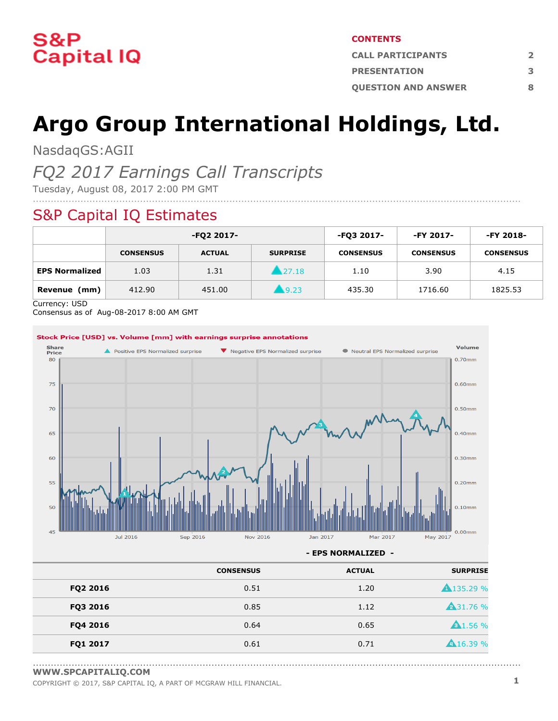

#### **CONTENTS**

| <b>CALL PARTICIPANTS</b>   |   |
|----------------------------|---|
| <b>PRESENTATION</b>        |   |
| <b>OUESTION AND ANSWER</b> | Ջ |

# **Argo Group International Holdings, Ltd.**

NasdaqGS:AGII

### *FQ2 2017 Earnings Call Transcripts*

Tuesday, August 08, 2017 2:00 PM GMT

### S&P Capital IQ Estimates

|                       |                  | -FQ2 2017-    |                     | -FQ3 2017-       | -FY 2017-        | -FY 2018-        |
|-----------------------|------------------|---------------|---------------------|------------------|------------------|------------------|
|                       | <b>CONSENSUS</b> | <b>ACTUAL</b> | <b>SURPRISE</b>     | <b>CONSENSUS</b> | <b>CONSENSUS</b> | <b>CONSENSUS</b> |
| <b>EPS Normalized</b> | 1.03             | 1.31          | 27.18               | 1.10             | 3.90             | 4.15             |
| (mm)<br>Revenue       | 412.90           | 451.00        | $\blacksquare$ 9.23 | 435.30           | 1716.60          | 1825.53          |

....................................................................................................................................................................

Currency: USD

Consensus as of Aug-08-2017 8:00 AM GMT



**- EPS NORMALIZED -**

| <b>ACTUAL</b> | <b>CONSENSUS</b> |          |
|---------------|------------------|----------|
| 1.20          | 0.51             | FQ2 2016 |
| 1.12          | 0.85             | FQ3 2016 |
| 0.65          | 0.64             | FQ4 2016 |
| 0.71          | 0.61             | FQ1 2017 |
|               |                  |          |

<sup>....................................................................................................................................................................</sup> **[WWW.SPCAPITALIQ.COM](https://www.capitaliq.com/home.aspx)**

COPYRIGHT © 2017, S&P CAPITAL IQ, <sup>A</sup> PART OF MCGRAW HILL FINANCIAL. **1**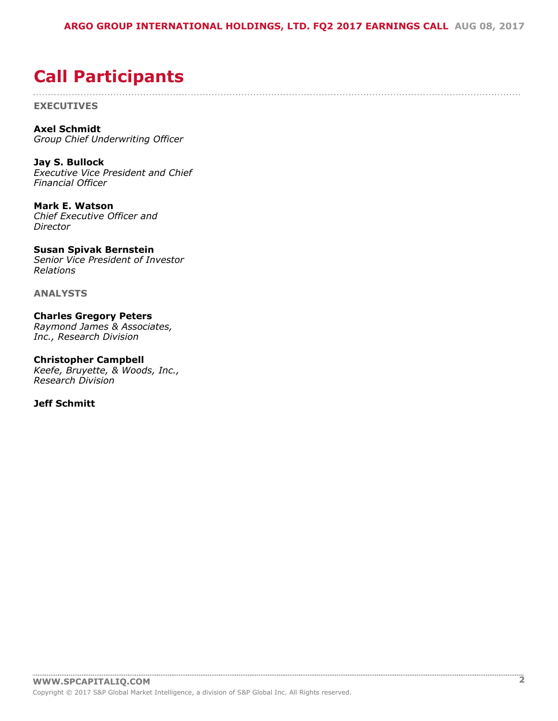....................................................................................................................................................................

## <span id="page-1-0"></span>**Call Participants**

**EXECUTIVES**

**Axel Schmidt** *Group Chief Underwriting Officer*

**Jay S. Bullock** *Executive Vice President and Chief Financial Officer*

**Mark E. Watson** *Chief Executive Officer and Director*

**Susan Spivak Bernstein** *Senior Vice President of Investor Relations*

**ANALYSTS**

**Charles Gregory Peters** *Raymond James & Associates, Inc., Research Division*

**Christopher Campbell** *Keefe, Bruyette, & Woods, Inc., Research Division*

**Jeff Schmitt**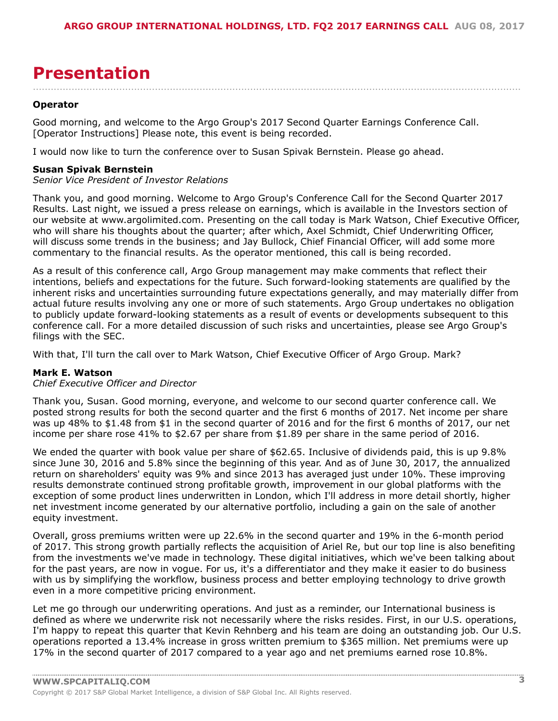## <span id="page-2-0"></span>**Presentation**

....................................................................................................................................................................

#### **Operator**

Good morning, and welcome to the Argo Group's 2017 Second Quarter Earnings Conference Call. [Operator Instructions] Please note, this event is being recorded.

I would now like to turn the conference over to Susan Spivak Bernstein. Please go ahead.

#### **Susan Spivak Bernstein**

#### *Senior Vice President of Investor Relations*

Thank you, and good morning. Welcome to Argo Group's Conference Call for the Second Quarter 2017 Results. Last night, we issued a press release on earnings, which is available in the Investors section of our website at www.argolimited.com. Presenting on the call today is Mark Watson, Chief Executive Officer, who will share his thoughts about the quarter; after which, Axel Schmidt, Chief Underwriting Officer, will discuss some trends in the business; and Jay Bullock, Chief Financial Officer, will add some more commentary to the financial results. As the operator mentioned, this call is being recorded.

As a result of this conference call, Argo Group management may make comments that reflect their intentions, beliefs and expectations for the future. Such forward-looking statements are qualified by the inherent risks and uncertainties surrounding future expectations generally, and may materially differ from actual future results involving any one or more of such statements. Argo Group undertakes no obligation to publicly update forward-looking statements as a result of events or developments subsequent to this conference call. For a more detailed discussion of such risks and uncertainties, please see Argo Group's filings with the SEC.

With that, I'll turn the call over to Mark Watson, Chief Executive Officer of Argo Group. Mark?

#### **Mark E. Watson**

#### *Chief Executive Officer and Director*

Thank you, Susan. Good morning, everyone, and welcome to our second quarter conference call. We posted strong results for both the second quarter and the first 6 months of 2017. Net income per share was up 48% to \$1.48 from \$1 in the second quarter of 2016 and for the first 6 months of 2017, our net income per share rose 41% to \$2.67 per share from \$1.89 per share in the same period of 2016.

We ended the quarter with book value per share of \$62.65. Inclusive of dividends paid, this is up 9.8% since June 30, 2016 and 5.8% since the beginning of this year. And as of June 30, 2017, the annualized return on shareholders' equity was 9% and since 2013 has averaged just under 10%. These improving results demonstrate continued strong profitable growth, improvement in our global platforms with the exception of some product lines underwritten in London, which I'll address in more detail shortly, higher net investment income generated by our alternative portfolio, including a gain on the sale of another equity investment.

Overall, gross premiums written were up 22.6% in the second quarter and 19% in the 6-month period of 2017. This strong growth partially reflects the acquisition of Ariel Re, but our top line is also benefiting from the investments we've made in technology. These digital initiatives, which we've been talking about for the past years, are now in vogue. For us, it's a differentiator and they make it easier to do business with us by simplifying the workflow, business process and better employing technology to drive growth even in a more competitive pricing environment.

Let me go through our underwriting operations. And just as a reminder, our International business is defined as where we underwrite risk not necessarily where the risks resides. First, in our U.S. operations, I'm happy to repeat this quarter that Kevin Rehnberg and his team are doing an outstanding job. Our U.S. operations reported a 13.4% increase in gross written premium to \$365 million. Net premiums were up 17% in the second quarter of 2017 compared to a year ago and net premiums earned rose 10.8%.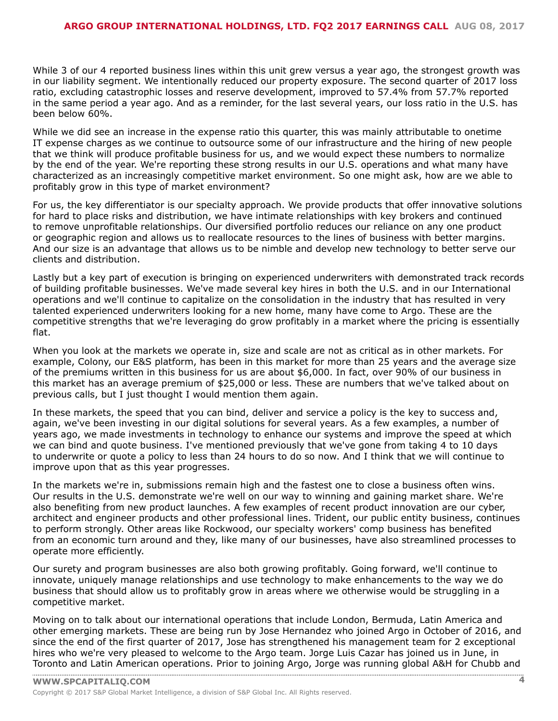While 3 of our 4 reported business lines within this unit grew versus a year ago, the strongest growth was in our liability segment. We intentionally reduced our property exposure. The second quarter of 2017 loss ratio, excluding catastrophic losses and reserve development, improved to 57.4% from 57.7% reported in the same period a year ago. And as a reminder, for the last several years, our loss ratio in the U.S. has been below 60%.

While we did see an increase in the expense ratio this quarter, this was mainly attributable to onetime IT expense charges as we continue to outsource some of our infrastructure and the hiring of new people that we think will produce profitable business for us, and we would expect these numbers to normalize by the end of the year. We're reporting these strong results in our U.S. operations and what many have characterized as an increasingly competitive market environment. So one might ask, how are we able to profitably grow in this type of market environment?

For us, the key differentiator is our specialty approach. We provide products that offer innovative solutions for hard to place risks and distribution, we have intimate relationships with key brokers and continued to remove unprofitable relationships. Our diversified portfolio reduces our reliance on any one product or geographic region and allows us to reallocate resources to the lines of business with better margins. And our size is an advantage that allows us to be nimble and develop new technology to better serve our clients and distribution.

Lastly but a key part of execution is bringing on experienced underwriters with demonstrated track records of building profitable businesses. We've made several key hires in both the U.S. and in our International operations and we'll continue to capitalize on the consolidation in the industry that has resulted in very talented experienced underwriters looking for a new home, many have come to Argo. These are the competitive strengths that we're leveraging do grow profitably in a market where the pricing is essentially flat.

When you look at the markets we operate in, size and scale are not as critical as in other markets. For example, Colony, our E&S platform, has been in this market for more than 25 years and the average size of the premiums written in this business for us are about \$6,000. In fact, over 90% of our business in this market has an average premium of \$25,000 or less. These are numbers that we've talked about on previous calls, but I just thought I would mention them again.

In these markets, the speed that you can bind, deliver and service a policy is the key to success and, again, we've been investing in our digital solutions for several years. As a few examples, a number of years ago, we made investments in technology to enhance our systems and improve the speed at which we can bind and quote business. I've mentioned previously that we've gone from taking 4 to 10 days to underwrite or quote a policy to less than 24 hours to do so now. And I think that we will continue to improve upon that as this year progresses.

In the markets we're in, submissions remain high and the fastest one to close a business often wins. Our results in the U.S. demonstrate we're well on our way to winning and gaining market share. We're also benefiting from new product launches. A few examples of recent product innovation are our cyber, architect and engineer products and other professional lines. Trident, our public entity business, continues to perform strongly. Other areas like Rockwood, our specialty workers' comp business has benefited from an economic turn around and they, like many of our businesses, have also streamlined processes to operate more efficiently.

Our surety and program businesses are also both growing profitably. Going forward, we'll continue to innovate, uniquely manage relationships and use technology to make enhancements to the way we do business that should allow us to profitably grow in areas where we otherwise would be struggling in a competitive market.

Moving on to talk about our international operations that include London, Bermuda, Latin America and other emerging markets. These are being run by Jose Hernandez who joined Argo in October of 2016, and since the end of the first quarter of 2017, Jose has strengthened his management team for 2 exceptional hires who we're very pleased to welcome to the Argo team. Jorge Luis Cazar has joined us in June, in [Toronto](www.capitaliq.com) and Latin American operations. Prior to joining Argo, Jorge was running global A&H for Chubb and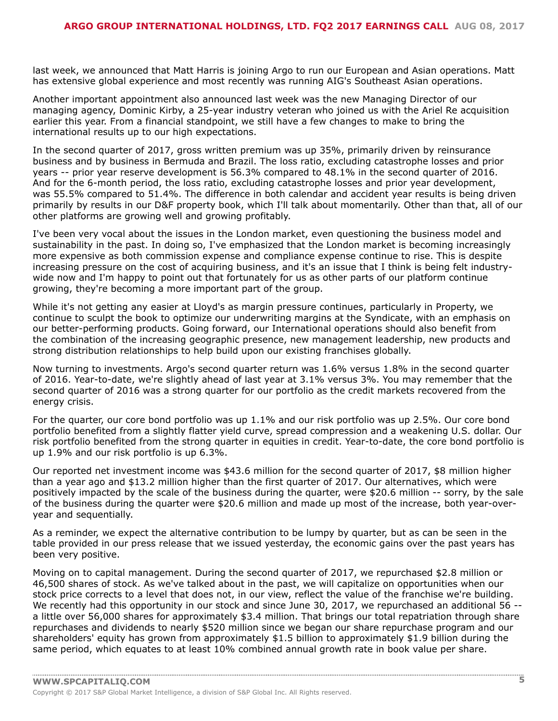last week, we announced that Matt Harris is joining Argo to run our European and Asian operations. Matt has extensive global experience and most recently was running AIG's Southeast Asian operations.

Another important appointment also announced last week was the new Managing Director of our managing agency, Dominic Kirby, a 25-year industry veteran who joined us with the Ariel Re acquisition earlier this year. From a financial standpoint, we still have a few changes to make to bring the international results up to our high expectations.

In the second quarter of 2017, gross written premium was up 35%, primarily driven by reinsurance business and by business in Bermuda and Brazil. The loss ratio, excluding catastrophe losses and prior years -- prior year reserve development is 56.3% compared to 48.1% in the second quarter of 2016. And for the 6-month period, the loss ratio, excluding catastrophe losses and prior year development, was 55.5% compared to 51.4%. The difference in both calendar and accident year results is being driven primarily by results in our D&F property book, which I'll talk about momentarily. Other than that, all of our other platforms are growing well and growing profitably.

I've been very vocal about the issues in the London market, even questioning the business model and sustainability in the past. In doing so, I've emphasized that the London market is becoming increasingly more expensive as both commission expense and compliance expense continue to rise. This is despite increasing pressure on the cost of acquiring business, and it's an issue that I think is being felt industrywide now and I'm happy to point out that fortunately for us as other parts of our platform continue growing, they're becoming a more important part of the group.

While it's not getting any easier at Lloyd's as margin pressure continues, particularly in Property, we continue to sculpt the book to optimize our underwriting margins at the Syndicate, with an emphasis on our better-performing products. Going forward, our International operations should also benefit from the combination of the increasing geographic presence, new management leadership, new products and strong distribution relationships to help build upon our existing franchises globally.

Now turning to investments. Argo's second quarter return was 1.6% versus 1.8% in the second quarter of 2016. Year-to-date, we're slightly ahead of last year at 3.1% versus 3%. You may remember that the second quarter of 2016 was a strong quarter for our portfolio as the credit markets recovered from the energy crisis.

For the quarter, our core bond portfolio was up 1.1% and our risk portfolio was up 2.5%. Our core bond portfolio benefited from a slightly flatter yield curve, spread compression and a weakening U.S. dollar. Our risk portfolio benefited from the strong quarter in equities in credit. Year-to-date, the core bond portfolio is up 1.9% and our risk portfolio is up 6.3%.

Our reported net investment income was \$43.6 million for the second quarter of 2017, \$8 million higher than a year ago and \$13.2 million higher than the first quarter of 2017. Our alternatives, which were positively impacted by the scale of the business during the quarter, were \$20.6 million -- sorry, by the sale of the business during the quarter were \$20.6 million and made up most of the increase, both year-overyear and sequentially.

As a reminder, we expect the alternative contribution to be lumpy by quarter, but as can be seen in the table provided in our press release that we issued yesterday, the economic gains over the past years has been very positive.

Moving on to capital management. During the second quarter of 2017, we repurchased \$2.8 million or 46,500 shares of stock. As we've talked about in the past, we will capitalize on opportunities when our stock price corrects to a level that does not, in our view, reflect the value of the franchise we're building. We recently had this opportunity in our stock and since June 30, 2017, we repurchased an additional 56 -a little over 56,000 shares for approximately \$3.4 million. That brings our total repatriation through share repurchases and dividends to nearly \$520 million since we began our share repurchase program and our shareholders' equity has grown from approximately \$1.5 billion to approximately \$1.9 billion during the same period, which equates to at least 10% combined annual growth rate in book value per share.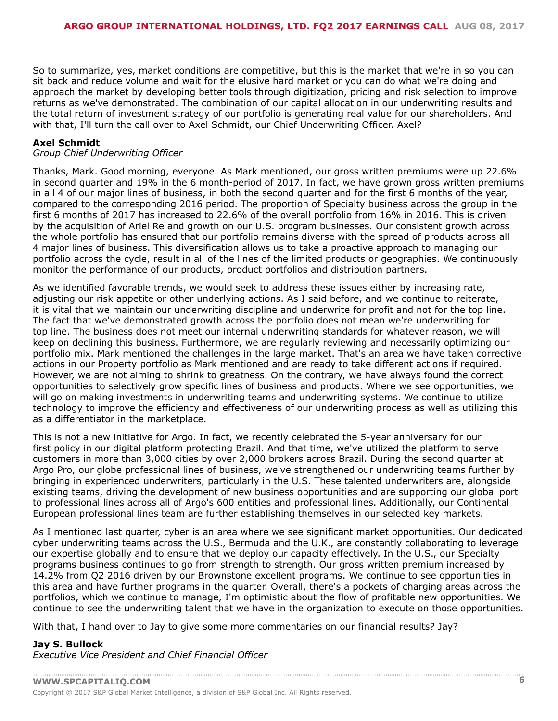So to summarize, yes, market conditions are competitive, but this is the market that we're in so you can sit back and reduce volume and wait for the elusive hard market or you can do what we're doing and approach the market by developing better tools through digitization, pricing and risk selection to improve returns as we've demonstrated. The combination of our capital allocation in our underwriting results and the total return of investment strategy of our portfolio is generating real value for our shareholders. And with that, I'll turn the call over to Axel Schmidt, our Chief Underwriting Officer. Axel?

#### **Axel Schmidt**

#### *Group Chief Underwriting Officer*

Thanks, Mark. Good morning, everyone. As Mark mentioned, our gross written premiums were up 22.6% in second quarter and 19% in the 6 month-period of 2017. In fact, we have grown gross written premiums in all 4 of our major lines of business, in both the second quarter and for the first 6 months of the year, compared to the corresponding 2016 period. The proportion of Specialty business across the group in the first 6 months of 2017 has increased to 22.6% of the overall portfolio from 16% in 2016. This is driven by the acquisition of Ariel Re and growth on our U.S. program businesses. Our consistent growth across the whole portfolio has ensured that our portfolio remains diverse with the spread of products across all 4 major lines of business. This diversification allows us to take a proactive approach to managing our portfolio across the cycle, result in all of the lines of the limited products or geographies. We continuously monitor the performance of our products, product portfolios and distribution partners.

As we identified favorable trends, we would seek to address these issues either by increasing rate, adjusting our risk appetite or other underlying actions. As I said before, and we continue to reiterate, it is vital that we maintain our underwriting discipline and underwrite for profit and not for the top line. The fact that we've demonstrated growth across the portfolio does not mean we're underwriting for top line. The business does not meet our internal underwriting standards for whatever reason, we will keep on declining this business. Furthermore, we are regularly reviewing and necessarily optimizing our portfolio mix. Mark mentioned the challenges in the large market. That's an area we have taken corrective actions in our Property portfolio as Mark mentioned and are ready to take different actions if required. However, we are not aiming to shrink to greatness. On the contrary, we have always found the correct opportunities to selectively grow specific lines of business and products. Where we see opportunities, we will go on making investments in underwriting teams and underwriting systems. We continue to utilize technology to improve the efficiency and effectiveness of our underwriting process as well as utilizing this as a differentiator in the marketplace.

This is not a new initiative for Argo. In fact, we recently celebrated the 5-year anniversary for our first policy in our digital platform protecting Brazil. And that time, we've utilized the platform to serve customers in more than 3,000 cities by over 2,000 brokers across Brazil. During the second quarter at Argo Pro, our globe professional lines of business, we've strengthened our underwriting teams further by bringing in experienced underwriters, particularly in the U.S. These talented underwriters are, alongside existing teams, driving the development of new business opportunities and are supporting our global port to professional lines across all of Argo's 600 entities and professional lines. Additionally, our Continental European professional lines team are further establishing themselves in our selected key markets.

As I mentioned last quarter, cyber is an area where we see significant market opportunities. Our dedicated cyber underwriting teams across the U.S., Bermuda and the U.K., are constantly collaborating to leverage our expertise globally and to ensure that we deploy our capacity effectively. In the U.S., our Specialty programs business continues to go from strength to strength. Our gross written premium increased by 14.2% from Q2 2016 driven by our Brownstone excellent programs. We continue to see opportunities in this area and have further programs in the quarter. Overall, there's a pockets of charging areas across the portfolios, which we continue to manage, I'm optimistic about the flow of profitable new opportunities. We continue to see the underwriting talent that we have in the organization to execute on those opportunities.

With that, I hand over to Jay to give some more commentaries on our financial results? Jay?

#### **Jay S. Bullock**

*Executive Vice President and Chief Financial Officer*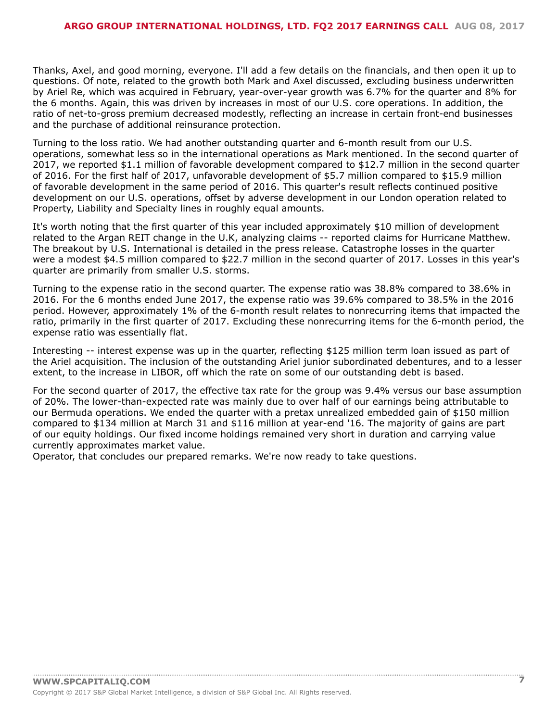Thanks, Axel, and good morning, everyone. I'll add a few details on the financials, and then open it up to questions. Of note, related to the growth both Mark and Axel discussed, excluding business underwritten by Ariel Re, which was acquired in February, year-over-year growth was 6.7% for the quarter and 8% for the 6 months. Again, this was driven by increases in most of our U.S. core operations. In addition, the ratio of net-to-gross premium decreased modestly, reflecting an increase in certain front-end businesses and the purchase of additional reinsurance protection.

Turning to the loss ratio. We had another outstanding quarter and 6-month result from our U.S. operations, somewhat less so in the international operations as Mark mentioned. In the second quarter of 2017, we reported \$1.1 million of favorable development compared to \$12.7 million in the second quarter of 2016. For the first half of 2017, unfavorable development of \$5.7 million compared to \$15.9 million of favorable development in the same period of 2016. This quarter's result reflects continued positive development on our U.S. operations, offset by adverse development in our London operation related to Property, Liability and Specialty lines in roughly equal amounts.

It's worth noting that the first quarter of this year included approximately \$10 million of development related to the Argan REIT change in the U.K, analyzing claims -- reported claims for Hurricane Matthew. The breakout by U.S. International is detailed in the press release. Catastrophe losses in the quarter were a modest \$4.5 million compared to \$22.7 million in the second quarter of 2017. Losses in this year's quarter are primarily from smaller U.S. storms.

Turning to the expense ratio in the second quarter. The expense ratio was 38.8% compared to 38.6% in 2016. For the 6 months ended June 2017, the expense ratio was 39.6% compared to 38.5% in the 2016 period. However, approximately 1% of the 6-month result relates to nonrecurring items that impacted the ratio, primarily in the first quarter of 2017. Excluding these nonrecurring items for the 6-month period, the expense ratio was essentially flat.

Interesting -- interest expense was up in the quarter, reflecting \$125 million term loan issued as part of the Ariel acquisition. The inclusion of the outstanding Ariel junior subordinated debentures, and to a lesser extent, to the increase in LIBOR, off which the rate on some of our outstanding debt is based.

For the second quarter of 2017, the effective tax rate for the group was 9.4% versus our base assumption of 20%. The lower-than-expected rate was mainly due to over half of our earnings being attributable to our Bermuda operations. We ended the quarter with a pretax unrealized embedded gain of \$150 million compared to \$134 million at March 31 and \$116 million at year-end '16. The majority of gains are part of our equity holdings. Our fixed income holdings remained very short in duration and carrying value currently approximates market value.

Operator, that concludes our prepared remarks. We're now ready to take questions.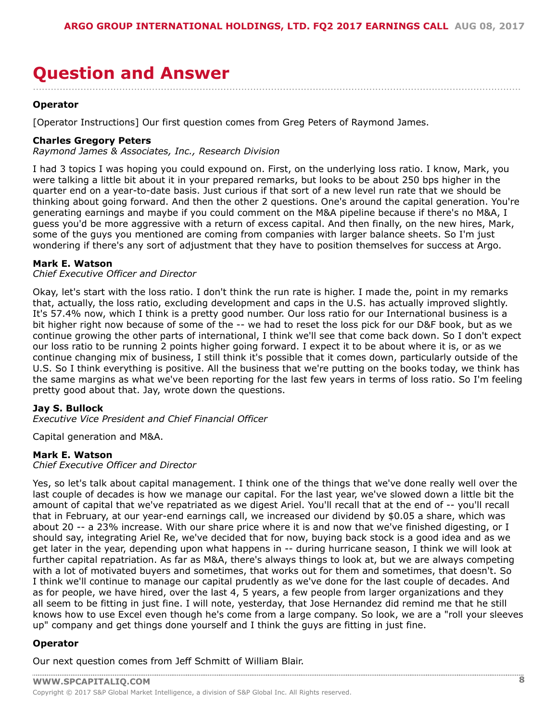### <span id="page-7-0"></span>**Question and Answer** ....................................................................................................................................................................

#### **Operator**

[Operator Instructions] Our first question comes from Greg Peters of Raymond James.

#### **Charles Gregory Peters**

*Raymond James & Associates, Inc., Research Division*

I had 3 topics I was hoping you could expound on. First, on the underlying loss ratio. I know, Mark, you were talking a little bit about it in your prepared remarks, but looks to be about 250 bps higher in the quarter end on a year-to-date basis. Just curious if that sort of a new level run rate that we should be thinking about going forward. And then the other 2 questions. One's around the capital generation. You're generating earnings and maybe if you could comment on the M&A pipeline because if there's no M&A, I guess you'd be more aggressive with a return of excess capital. And then finally, on the new hires, Mark, some of the guys you mentioned are coming from companies with larger balance sheets. So I'm just wondering if there's any sort of adjustment that they have to position themselves for success at Argo.

#### **Mark E. Watson**

#### *Chief Executive Officer and Director*

Okay, let's start with the loss ratio. I don't think the run rate is higher. I made the, point in my remarks that, actually, the loss ratio, excluding development and caps in the U.S. has actually improved slightly. It's 57.4% now, which I think is a pretty good number. Our loss ratio for our International business is a bit higher right now because of some of the -- we had to reset the loss pick for our D&F book, but as we continue growing the other parts of international, I think we'll see that come back down. So I don't expect our loss ratio to be running 2 points higher going forward. I expect it to be about where it is, or as we continue changing mix of business, I still think it's possible that it comes down, particularly outside of the U.S. So I think everything is positive. All the business that we're putting on the books today, we think has the same margins as what we've been reporting for the last few years in terms of loss ratio. So I'm feeling pretty good about that. Jay, wrote down the questions.

#### **Jay S. Bullock**

*Executive Vice President and Chief Financial Officer*

Capital generation and M&A.

#### **Mark E. Watson**

*Chief Executive Officer and Director*

Yes, so let's talk about capital management. I think one of the things that we've done really well over the last couple of decades is how we manage our capital. For the last year, we've slowed down a little bit the amount of capital that we've repatriated as we digest Ariel. You'll recall that at the end of -- you'll recall that in February, at our year-end earnings call, we increased our dividend by \$0.05 a share, which was about 20 -- a 23% increase. With our share price where it is and now that we've finished digesting, or I should say, integrating Ariel Re, we've decided that for now, buying back stock is a good idea and as we get later in the year, depending upon what happens in -- during hurricane season, I think we will look at further capital repatriation. As far as M&A, there's always things to look at, but we are always competing with a lot of motivated buyers and sometimes, that works out for them and sometimes, that doesn't. So I think we'll continue to manage our capital prudently as we've done for the last couple of decades. And as for people, we have hired, over the last 4, 5 years, a few people from larger organizations and they all seem to be fitting in just fine. I will note, yesterday, that Jose Hernandez did remind me that he still knows how to use Excel even though he's come from a large company. So look, we are a "roll your sleeves up" company and get things done yourself and I think the guys are fitting in just fine.

#### **Operator**

Our next question comes from Jeff Schmitt of William Blair.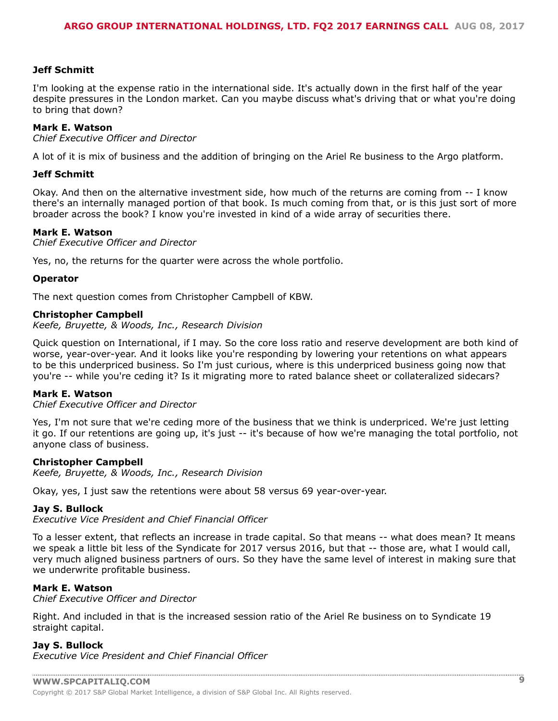#### **Jeff Schmitt**

I'm looking at the expense ratio in the international side. It's actually down in the first half of the year despite pressures in the London market. Can you maybe discuss what's driving that or what you're doing to bring that down?

#### **Mark E. Watson**

*Chief Executive Officer and Director*

A lot of it is mix of business and the addition of bringing on the Ariel Re business to the Argo platform.

#### **Jeff Schmitt**

Okay. And then on the alternative investment side, how much of the returns are coming from -- I know there's an internally managed portion of that book. Is much coming from that, or is this just sort of more broader across the book? I know you're invested in kind of a wide array of securities there.

#### **Mark E. Watson**

*Chief Executive Officer and Director*

Yes, no, the returns for the quarter were across the whole portfolio.

#### **Operator**

The next question comes from Christopher Campbell of KBW.

#### **Christopher Campbell**

*Keefe, Bruyette, & Woods, Inc., Research Division*

Quick question on International, if I may. So the core loss ratio and reserve development are both kind of worse, year-over-year. And it looks like you're responding by lowering your retentions on what appears to be this underpriced business. So I'm just curious, where is this underpriced business going now that you're -- while you're ceding it? Is it migrating more to rated balance sheet or collateralized sidecars?

#### **Mark E. Watson**

*Chief Executive Officer and Director*

Yes, I'm not sure that we're ceding more of the business that we think is underpriced. We're just letting it go. If our retentions are going up, it's just -- it's because of how we're managing the total portfolio, not anyone class of business.

#### **Christopher Campbell**

*Keefe, Bruyette, & Woods, Inc., Research Division*

Okay, yes, I just saw the retentions were about 58 versus 69 year-over-year.

#### **Jay S. Bullock**

*Executive Vice President and Chief Financial Officer*

To a lesser extent, that reflects an increase in trade capital. So that means -- what does mean? It means we speak a little bit less of the Syndicate for 2017 versus 2016, but that -- those are, what I would call, very much aligned business partners of ours. So they have the same level of interest in making sure that we underwrite profitable business.

#### **Mark E. Watson**

*Chief Executive Officer and Director*

Right. And included in that is the increased session ratio of the Ariel Re business on to Syndicate 19 straight capital.

#### **Jay S. Bullock**

*Executive Vice President and Chief Financial Officer*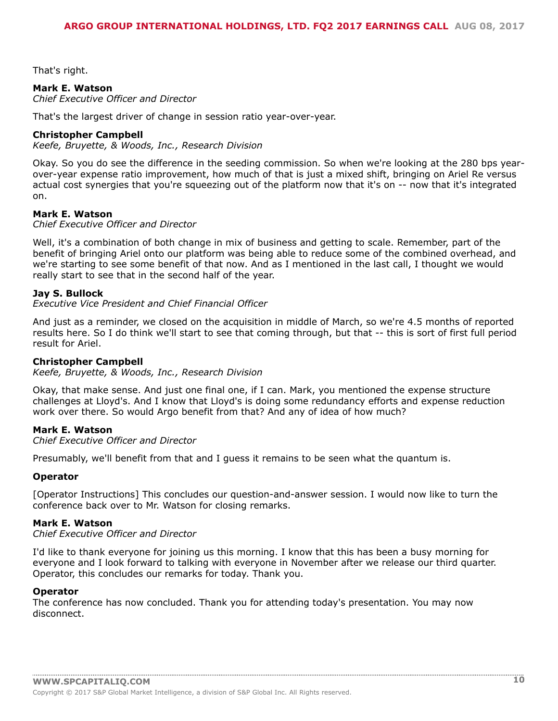That's right.

#### **Mark E. Watson**

*Chief Executive Officer and Director*

That's the largest driver of change in session ratio year-over-year.

#### **Christopher Campbell**

*Keefe, Bruyette, & Woods, Inc., Research Division*

Okay. So you do see the difference in the seeding commission. So when we're looking at the 280 bps yearover-year expense ratio improvement, how much of that is just a mixed shift, bringing on Ariel Re versus actual cost synergies that you're squeezing out of the platform now that it's on -- now that it's integrated on.

#### **Mark E. Watson**

*Chief Executive Officer and Director*

Well, it's a combination of both change in mix of business and getting to scale. Remember, part of the benefit of bringing Ariel onto our platform was being able to reduce some of the combined overhead, and we're starting to see some benefit of that now. And as I mentioned in the last call, I thought we would really start to see that in the second half of the year.

#### **Jay S. Bullock**

*Executive Vice President and Chief Financial Officer*

And just as a reminder, we closed on the acquisition in middle of March, so we're 4.5 months of reported results here. So I do think we'll start to see that coming through, but that -- this is sort of first full period result for Ariel.

#### **Christopher Campbell**

*Keefe, Bruyette, & Woods, Inc., Research Division*

Okay, that make sense. And just one final one, if I can. Mark, you mentioned the expense structure challenges at Lloyd's. And I know that Lloyd's is doing some redundancy efforts and expense reduction work over there. So would Argo benefit from that? And any of idea of how much?

#### **Mark E. Watson**

*Chief Executive Officer and Director*

Presumably, we'll benefit from that and I guess it remains to be seen what the quantum is.

#### **Operator**

[Operator Instructions] This concludes our question-and-answer session. I would now like to turn the conference back over to Mr. Watson for closing remarks.

#### **Mark E. Watson**

*Chief Executive Officer and Director*

I'd like to thank everyone for joining us this morning. I know that this has been a busy morning for everyone and I look forward to talking with everyone in November after we release our third quarter. Operator, this concludes our remarks for today. Thank you.

#### **Operator**

The conference has now concluded. Thank you for attending today's presentation. You may now disconnect.